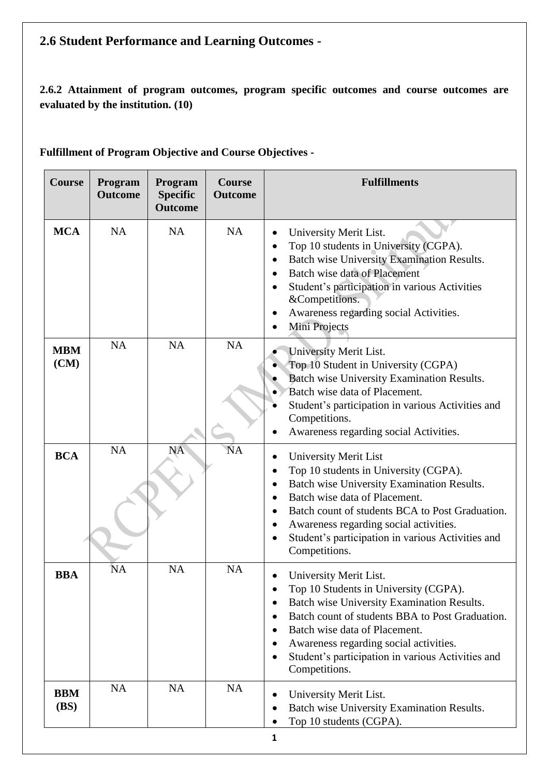# **2.6 Student Performance and Learning Outcomes -**

**2.6.2 Attainment of program outcomes, program specific outcomes and course outcomes are evaluated by the institution. (10)**

| Course                    | Program<br><b>Outcome</b> | Program<br><b>Specific</b><br><b>Outcome</b> | <b>Course</b><br><b>Outcome</b> | <b>Fulfillments</b>                                                                                                                                                                                                                                                                                                                       |
|---------------------------|---------------------------|----------------------------------------------|---------------------------------|-------------------------------------------------------------------------------------------------------------------------------------------------------------------------------------------------------------------------------------------------------------------------------------------------------------------------------------------|
| <b>MCA</b>                | <b>NA</b>                 | <b>NA</b>                                    | <b>NA</b>                       | University Merit List.<br>Top 10 students in University (CGPA).<br>٠<br>Batch wise University Examination Results.<br><b>Batch wise data of Placement</b><br>$\bullet$<br>Student's participation in various Activities<br>&Competitions.<br>Awareness regarding social Activities.<br>Mini Projects                                      |
| <b>MBM</b><br>(CM)        | <b>NA</b>                 | <b>NA</b>                                    | <b>NA</b>                       | University Merit List.<br>Top 10 Student in University (CGPA)<br><b>Batch wise University Examination Results.</b><br>Batch wise data of Placement.<br>Student's participation in various Activities and<br>Competitions.<br>Awareness regarding social Activities.                                                                       |
| <b>BCA</b>                | <b>NA</b>                 | <b>NA</b>                                    | <b>NA</b>                       | <b>University Merit List</b><br>Top 10 students in University (CGPA).<br>Batch wise University Examination Results.<br>٠<br>Batch wise data of Placement.<br>Batch count of students BCA to Post Graduation.<br>$\bullet$<br>Awareness regarding social activities.<br>Student's participation in various Activities and<br>Competitions. |
| <b>BBA</b>                | 'NΑ                       | <b>NA</b>                                    | NA                              | University Merit List.<br>Top 10 Students in University (CGPA).<br>Batch wise University Examination Results.<br>Batch count of students BBA to Post Graduation.<br>Batch wise data of Placement.<br>Awareness regarding social activities.<br>Student's participation in various Activities and<br>Competitions.                         |
| <b>BBM</b><br><b>(BS)</b> | <b>NA</b>                 | <b>NA</b>                                    | <b>NA</b>                       | University Merit List.<br>Batch wise University Examination Results.<br>Top 10 students (CGPA).                                                                                                                                                                                                                                           |

**Fulfillment of Program Objective and Course Objectives -**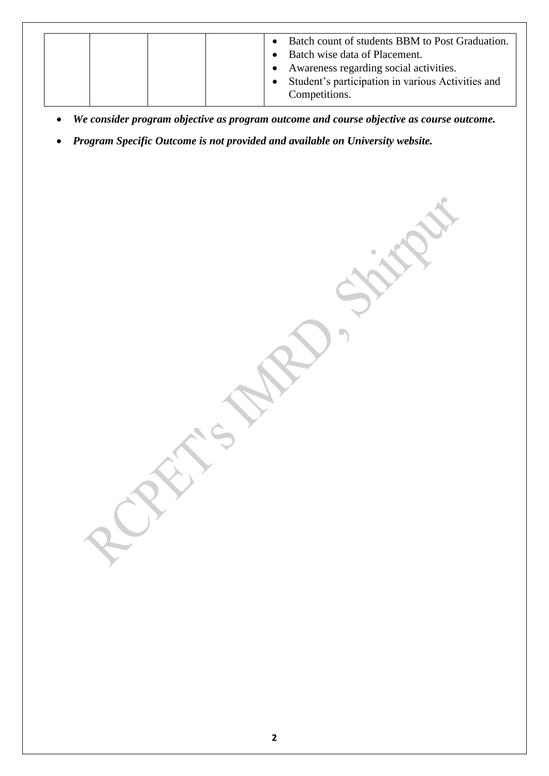|--|

- *We consider program objective as program outcome and course objective as course outcome.*
- *Program Specific Outcome is not provided and available on University website.*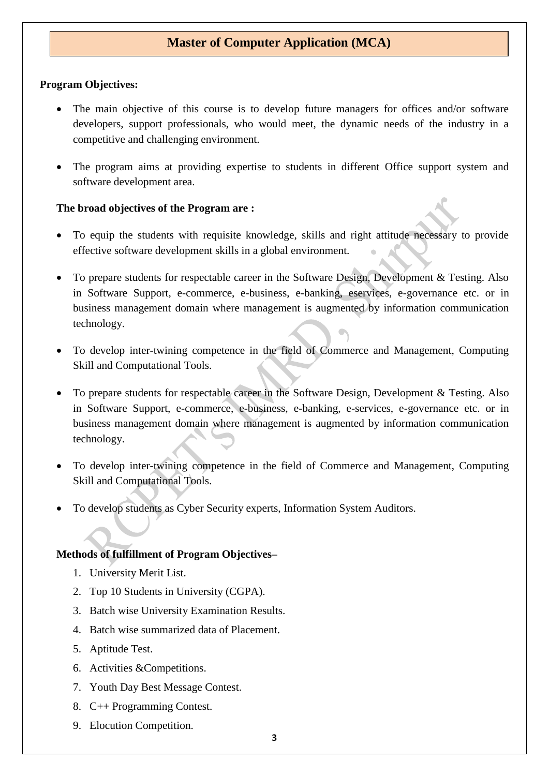## **Master of Computer Application (MCA)**

### **Program Objectives:**

- The main objective of this course is to develop future managers for offices and/or software developers, support professionals, who would meet, the dynamic needs of the industry in a competitive and challenging environment.
- The program aims at providing expertise to students in different Office support system and software development area.

### **The broad objectives of the Program are :**

- To equip the students with requisite knowledge, skills and right attitude necessary to provide effective software development skills in a global environment.
- To prepare students for respectable career in the Software Design, Development & Testing. Also in Software Support, e-commerce, e-business, e-banking, eservices, e-governance etc. or in business management domain where management is augmented by information communication technology.
- To develop inter-twining competence in the field of Commerce and Management, Computing Skill and Computational Tools.
- To prepare students for respectable career in the Software Design, Development & Testing. Also in Software Support, e-commerce, e-business, e-banking, e-services, e-governance etc. or in business management domain where management is augmented by information communication technology.
- To develop inter-twining competence in the field of Commerce and Management, Computing Skill and Computational Tools.
- To develop students as Cyber Security experts, Information System Auditors.

## **Methods of fulfillment of Program Objectives–**

- 1. University Merit List.
- 2. Top 10 Students in University (CGPA).
- 3. Batch wise University Examination Results.
- 4. Batch wise summarized data of Placement.
- 5. Aptitude Test.
- 6. Activities &Competitions.
- 7. Youth Day Best Message Contest.
- 8. C++ Programming Contest.
- 9. Elocution Competition.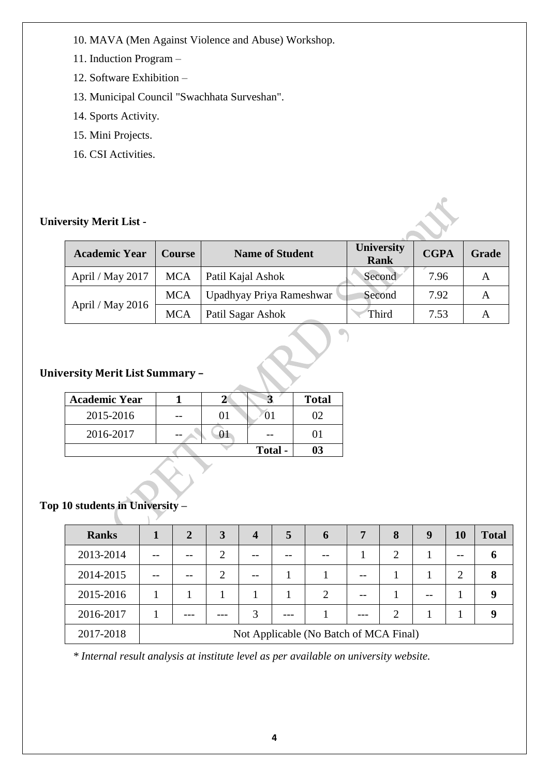- 10. MAVA (Men Against Violence and Abuse) Workshop.
- 11. Induction Program –
- 12. Software Exhibition –
- 13. Municipal Council "Swachhata Surveshan".
- 14. Sports Activity.
- 15. Mini Projects.
- 16. CSI Activities.

## **University Merit List -**

| <b>Academic Year</b> | <b>Course</b> | <b>Name of Student</b>   | <b>University</b><br><b>Rank</b> | <b>CGPA</b> | <b>Grade</b>   |
|----------------------|---------------|--------------------------|----------------------------------|-------------|----------------|
| April / May 2017     | <b>MCA</b>    | Patil Kajal Ashok        | Second                           | 7.96        |                |
|                      | <b>MCA</b>    | Upadhyay Priya Rameshwar | Second                           | 7.92        |                |
| April / May 2016     | <b>MCA</b>    | Patil Sagar Ashok        | Third                            | 7.53        | $\overline{A}$ |

## **University Merit List Summary –**

| <b>Academic Year</b> |  |         | <b>Total</b> |
|----------------------|--|---------|--------------|
| 2015-2016            |  |         |              |
| 2016-2017            |  |         |              |
|                      |  | Total - |              |

## **Top 10 students in University –**

| <b>Ranks</b> | $\overline{2}$ | 3 | $\boldsymbol{4}$ | 5 | 6                                      | 7 | 8             | 9 | <b>10</b>      | <b>Total</b> |
|--------------|----------------|---|------------------|---|----------------------------------------|---|---------------|---|----------------|--------------|
| 2013-2014    |                |   |                  |   |                                        |   | 2             |   |                |              |
| 2014-2015    |                |   |                  |   |                                        |   |               |   | $\overline{2}$ |              |
| 2015-2016    |                |   |                  |   |                                        |   |               |   |                |              |
| 2016-2017    |                |   |                  |   |                                        |   | $\mathcal{D}$ |   |                |              |
| 2017-2018    |                |   |                  |   | Not Applicable (No Batch of MCA Final) |   |               |   |                |              |

*\* Internal result analysis at institute level as per available on university website.*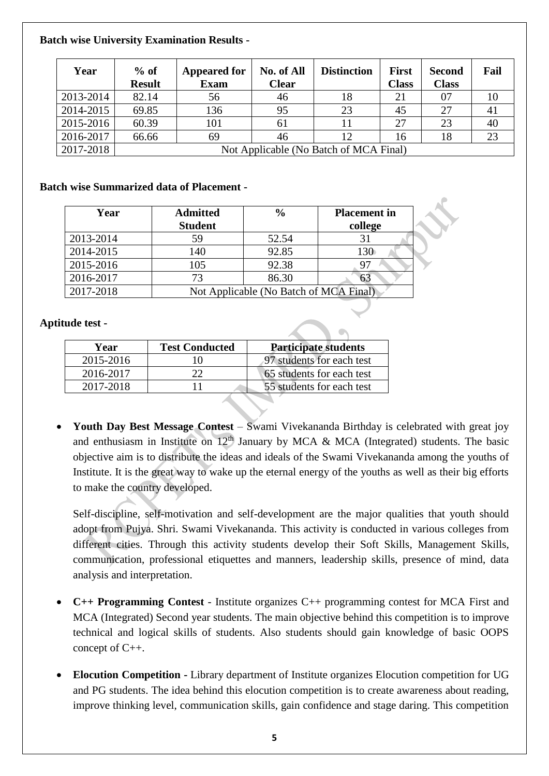## **Batch wise University Examination Results -**

| Year      | $%$ of<br><b>Result</b> | <b>Appeared for</b><br><b>Exam</b>     | <b>No. of All</b><br><b>Clear</b> | <b>Distinction</b> | <b>First</b><br><b>Class</b> | <b>Second</b><br><b>Class</b> | Fail |
|-----------|-------------------------|----------------------------------------|-----------------------------------|--------------------|------------------------------|-------------------------------|------|
| 2013-2014 | 82.14                   | 56                                     | 46                                | 18                 | 21                           | 07                            | 10   |
| 2014-2015 | 69.85                   | 136                                    | 95                                | 23                 | 45                           | 27                            | 41   |
| 2015-2016 | 60.39                   | 101                                    | 61                                |                    | 27                           | 23                            | 40   |
| 2016-2017 | 66.66                   | 69                                     | 46                                | 12                 | 16                           | 18                            | 23   |
| 2017-2018 |                         | Not Applicable (No Batch of MCA Final) |                                   |                    |                              |                               |      |

### **Batch wise Summarized data of Placement -**

| Year      | <b>Admitted</b><br><b>Student</b> | $\frac{0}{0}$                          | <b>Placement</b> in<br>college |
|-----------|-----------------------------------|----------------------------------------|--------------------------------|
| 2013-2014 | 59                                | 52.54                                  | 31                             |
| 2014-2015 | 140                               | 92.85                                  | 130                            |
| 2015-2016 | 105                               | 92.38                                  | 97                             |
| 2016-2017 | 73                                | 86.30                                  |                                |
| 2017-2018 |                                   | Not Applicable (No Batch of MCA Final) |                                |

## **Aptitude test -**

| Year      | <b>Test Conducted</b> | <b>Participate students</b> |
|-----------|-----------------------|-----------------------------|
| 2015-2016 | 10                    | 97 students for each test   |
| 2016-2017 |                       | 65 students for each test   |
| 2017-2018 |                       | 55 students for each test   |

• **Youth Day Best Message Contest** – Swami Vivekananda Birthday is celebrated with great joy and enthusiasm in Institute on  $12<sup>th</sup>$  January by MCA & MCA (Integrated) students. The basic objective aim is to distribute the ideas and ideals of the Swami Vivekananda among the youths of Institute. It is the great way to wake up the eternal energy of the youths as well as their big efforts to make the country developed.

Self-discipline, self-motivation and self-development are the major qualities that youth should adopt from Pujya. Shri. Swami Vivekananda. This activity is conducted in various colleges from different cities. Through this activity students develop their Soft Skills, Management Skills, communication, professional etiquettes and manners, leadership skills, presence of mind, data analysis and interpretation.

- **C++ Programming Contest** Institute organizes C++ programming contest for MCA First and MCA (Integrated) Second year students. The main objective behind this competition is to improve technical and logical skills of students. Also students should gain knowledge of basic OOPS concept of C++.
- **Elocution Competition -** Library department of Institute organizes Elocution competition for UG and PG students. The idea behind this elocution competition is to create awareness about reading, improve thinking level, communication skills, gain confidence and stage daring. This competition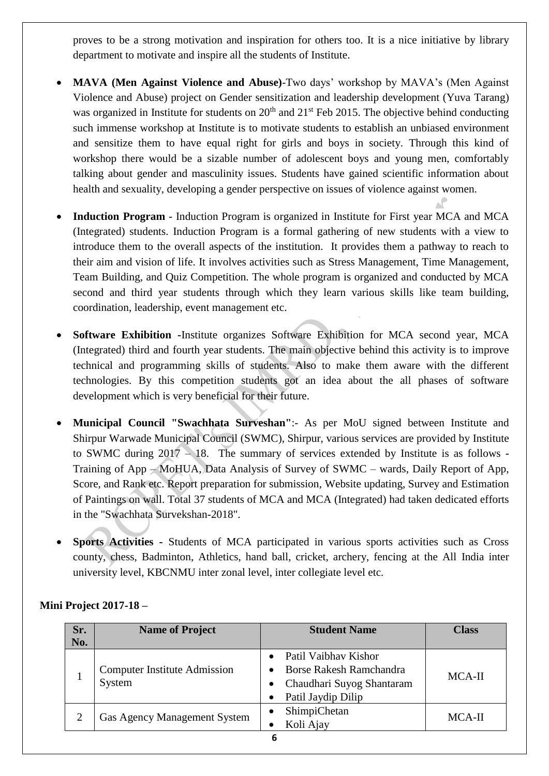proves to be a strong motivation and inspiration for others too. It is a nice initiative by library department to motivate and inspire all the students of Institute.

- **MAVA (Men Against Violence and Abuse)**-Two days' workshop by MAVA's (Men Against Violence and Abuse) project on Gender sensitization and leadership development (Yuva Tarang) was organized in Institute for students on  $20<sup>th</sup>$  and  $21<sup>st</sup>$  Feb 2015. The objective behind conducting such immense workshop at Institute is to motivate students to establish an unbiased environment and sensitize them to have equal right for girls and boys in society. Through this kind of workshop there would be a sizable number of adolescent boys and young men, comfortably talking about gender and masculinity issues. Students have gained scientific information about health and sexuality, developing a gender perspective on issues of violence against women.
- **Induction Program** Induction Program is organized in Institute for First year MCA and MCA (Integrated) students. Induction Program is a formal gathering of new students with a view to introduce them to the overall aspects of the institution. It provides them a pathway to reach to their aim and vision of life. It involves activities such as Stress Management, Time Management, Team Building, and Quiz Competition. The whole program is organized and conducted by MCA second and third year students through which they learn various skills like team building, coordination, leadership, event management etc.
- **Software Exhibition -**Institute organizes Software Exhibition for MCA second year, MCA (Integrated) third and fourth year students. The main objective behind this activity is to improve technical and programming skills of students. Also to make them aware with the different technologies. By this competition students got an idea about the all phases of software development which is very beneficial for their future.
- **Municipal Council "Swachhata Surveshan"**:- As per MoU signed between Institute and Shirpur Warwade Municipal Council (SWMC), Shirpur, various services are provided by Institute to SWMC during  $2017 - 18$ . The summary of services extended by Institute is as follows -Training of App – MoHUA, Data Analysis of Survey of SWMC – wards, Daily Report of App, Score, and Rank etc. Report preparation for submission, Website updating, Survey and Estimation of Paintings on wall. Total 37 students of MCA and MCA (Integrated) had taken dedicated efforts in the "Swachhata Survekshan-2018".
- **Sports Activities -** Students of MCA participated in various sports activities such as Cross county, chess, Badminton, Athletics, hand ball, cricket, archery, fencing at the All India inter university level, KBCNMU inter zonal level, inter collegiate level etc.

| Sr. | <b>Name of Project</b>                        | <b>Student Name</b>                                                                                                                              | <b>Class</b> |
|-----|-----------------------------------------------|--------------------------------------------------------------------------------------------------------------------------------------------------|--------------|
| No. |                                               |                                                                                                                                                  |              |
|     | <b>Computer Institute Admission</b><br>System | Patil Vaibhay Kishor<br><b>Borse Rakesh Ramchandra</b><br>$\bullet$<br>Chaudhari Suyog Shantaram<br>$\bullet$<br>Patil Jaydip Dilip<br>$\bullet$ | $MCA-II$     |
|     | <b>Gas Agency Management System</b>           | ShimpiChetan<br>$\bullet$<br>Koli Ajay                                                                                                           | MCA-II       |

## **Mini Project 2017-18 –**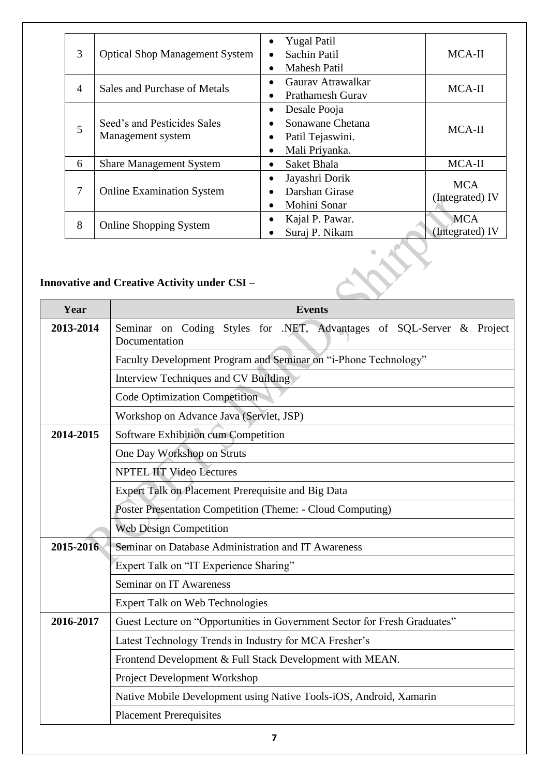| 3               | <b>Optical Shop Management System</b>            | <b>Yugal Patil</b><br>Sachin Patil<br><b>Mahesh Patil</b>              | MCA-II                        |
|-----------------|--------------------------------------------------|------------------------------------------------------------------------|-------------------------------|
| $\overline{4}$  | Sales and Purchase of Metals                     | Gauray Atrawalkar<br><b>Prathamesh Gurav</b>                           | MCA-II                        |
| 5               | Seed's and Pesticides Sales<br>Management system | Desale Pooja<br>Sonawane Chetana<br>Patil Tejaswini.<br>Mali Priyanka. | MCA-II                        |
| 6               | <b>Share Management System</b>                   | Saket Bhala<br>$\bullet$                                               | MCA-II                        |
| $7\phantom{.0}$ | <b>Online Examination System</b>                 | Jayashri Dorik<br>Darshan Girase<br>Mohini Sonar                       | <b>MCA</b><br>(Integrated) IV |
| 8               | <b>Online Shopping System</b>                    | Kajal P. Pawar.<br>Suraj P. Nikam                                      | <b>MCA</b><br>(Integrated) IV |

# **Innovative and Creative Activity under CSI –**

| Year      | <b>Events</b>                                                                          |  |  |  |  |  |  |
|-----------|----------------------------------------------------------------------------------------|--|--|--|--|--|--|
| 2013-2014 | Seminar on Coding Styles for .NET, Advantages of SQL-Server & Project<br>Documentation |  |  |  |  |  |  |
|           | Faculty Development Program and Seminar on "i-Phone Technology"                        |  |  |  |  |  |  |
|           | Interview Techniques and CV Building                                                   |  |  |  |  |  |  |
|           | <b>Code Optimization Competition</b>                                                   |  |  |  |  |  |  |
|           | Workshop on Advance Java (Servlet, JSP)                                                |  |  |  |  |  |  |
| 2014-2015 | Software Exhibition cum Competition                                                    |  |  |  |  |  |  |
|           | One Day Workshop on Struts                                                             |  |  |  |  |  |  |
|           | <b>NPTEL IIT Video Lectures</b>                                                        |  |  |  |  |  |  |
|           | Expert Talk on Placement Prerequisite and Big Data                                     |  |  |  |  |  |  |
|           | Poster Presentation Competition (Theme: - Cloud Computing)                             |  |  |  |  |  |  |
|           | <b>Web Design Competition</b>                                                          |  |  |  |  |  |  |
| 2015-2016 | Seminar on Database Administration and IT Awareness                                    |  |  |  |  |  |  |
|           | Expert Talk on "IT Experience Sharing"                                                 |  |  |  |  |  |  |
|           | <b>Seminar on IT Awareness</b>                                                         |  |  |  |  |  |  |
|           | <b>Expert Talk on Web Technologies</b>                                                 |  |  |  |  |  |  |
| 2016-2017 | Guest Lecture on "Opportunities in Government Sector for Fresh Graduates"              |  |  |  |  |  |  |
|           | Latest Technology Trends in Industry for MCA Fresher's                                 |  |  |  |  |  |  |
|           | Frontend Development & Full Stack Development with MEAN.                               |  |  |  |  |  |  |
|           | Project Development Workshop                                                           |  |  |  |  |  |  |
|           | Native Mobile Development using Native Tools-iOS, Android, Xamarin                     |  |  |  |  |  |  |
|           | <b>Placement Prerequisites</b>                                                         |  |  |  |  |  |  |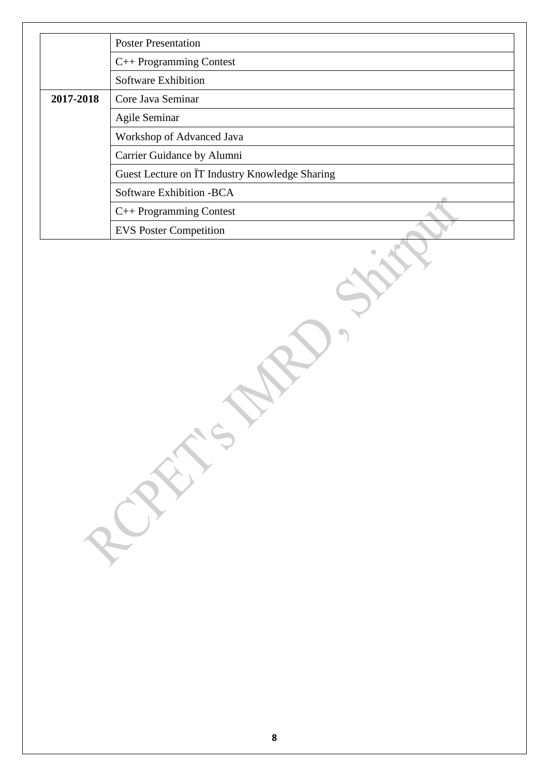|           | <b>Poster Presentation</b>                                  |
|-----------|-------------------------------------------------------------|
|           | $C++$ Programming Contest                                   |
|           | <b>Software Exhibition</b>                                  |
| 2017-2018 | Core Java Seminar                                           |
|           | Agile Seminar                                               |
|           | Workshop of Advanced Java                                   |
|           | Carrier Guidance by Alumni                                  |
|           | Guest Lecture on $\overline{IT}$ Industry Knowledge Sharing |
|           | Software Exhibition - BCA                                   |
|           | $C++$ Programming Contest                                   |
|           | <b>EVS</b> Poster Competition                               |

AFTS MAD. ST.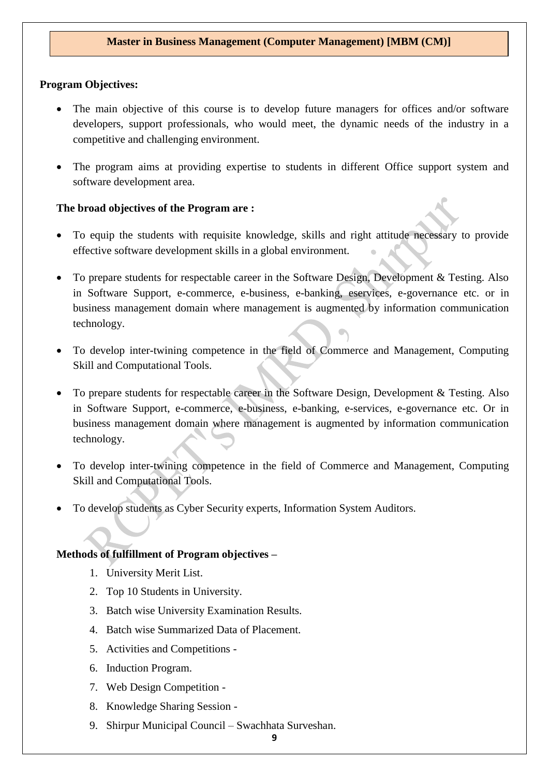### **Program Objectives:**

- The main objective of this course is to develop future managers for offices and/or software developers, support professionals, who would meet, the dynamic needs of the industry in a competitive and challenging environment.
- The program aims at providing expertise to students in different Office support system and software development area.

### **The broad objectives of the Program are :**

- To equip the students with requisite knowledge, skills and right attitude necessary to provide effective software development skills in a global environment.
- To prepare students for respectable career in the Software Design, Development & Testing. Also in Software Support, e-commerce, e-business, e-banking, eservices, e-governance etc. or in business management domain where management is augmented by information communication technology.
- To develop inter-twining competence in the field of Commerce and Management, Computing Skill and Computational Tools.
- To prepare students for respectable career in the Software Design, Development & Testing. Also in Software Support, e-commerce, e-business, e-banking, e-services, e-governance etc. Or in business management domain where management is augmented by information communication technology.
- To develop inter-twining competence in the field of Commerce and Management, Computing Skill and Computational Tools.
- To develop students as Cyber Security experts, Information System Auditors.

## **Methods of fulfillment of Program objectives –**

- 1. University Merit List.
- 2. Top 10 Students in University.
- 3. Batch wise University Examination Results.
- 4. Batch wise Summarized Data of Placement.
- 5. Activities and Competitions -
- 6. Induction Program.
- 7. Web Design Competition -
- 8. Knowledge Sharing Session -
- 9. Shirpur Municipal Council Swachhata Surveshan.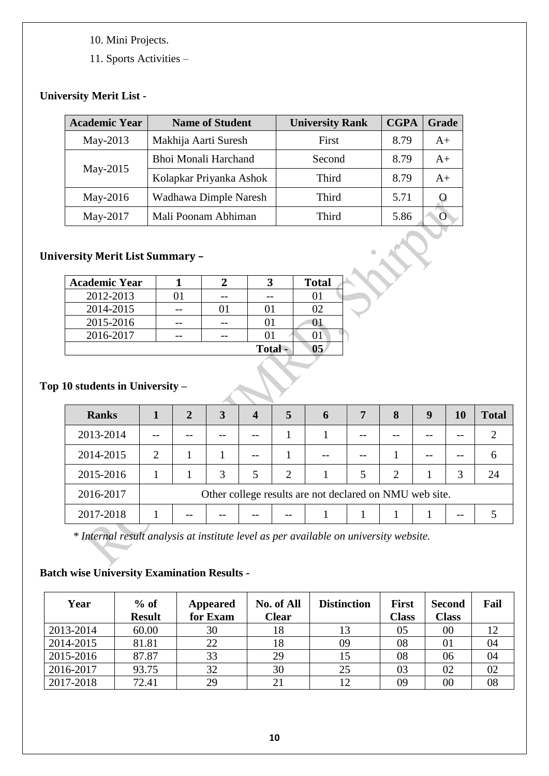- 10. Mini Projects.
- 11. Sports Activities –

## **University Merit List -**

| <b>Academic Year</b> | <b>Name of Student</b>  | <b>University Rank</b> | <b>CGPA</b> | Grade |
|----------------------|-------------------------|------------------------|-------------|-------|
| May-2013             | Makhija Aarti Suresh    | First                  | 8.79        | $A+$  |
|                      | Bhoi Monali Harchand    | Second                 | 8.79        | $A+$  |
| May-2015             | Kolapkar Priyanka Ashok | Third                  | 8.79        | $A+$  |
| May-2016             | Wadhawa Dimple Naresh   | Third                  | 5.71        |       |
| May-2017             | Mali Poonam Abhiman     | Third                  | 5.86        |       |

## **University Merit List Summary –**

| <b>Academic Year</b> |  |         | <b>Total</b> |
|----------------------|--|---------|--------------|
| 2012-2013            |  |         |              |
| 2014-2015            |  |         | 12           |
| 2015-2016            |  |         |              |
| 2016-2017            |  |         |              |
|                      |  | Total - | 05           |

## **Top 10 students in University –**

| <b>Ranks</b> |   | $\overline{2}$ | 3 | $\boldsymbol{4}$ | 5                           |                                                         | 7 | 8              | 9 | <b>10</b> | <b>Total</b> |
|--------------|---|----------------|---|------------------|-----------------------------|---------------------------------------------------------|---|----------------|---|-----------|--------------|
| 2013-2014    |   |                |   |                  |                             |                                                         |   |                |   |           |              |
| 2014-2015    | っ |                |   |                  |                             |                                                         |   |                |   |           |              |
| 2015-2016    |   |                | 3 |                  | $\mathcal{D}_{\mathcal{L}}$ |                                                         |   | $\mathfrak{D}$ |   | 3         | 24           |
| 2016-2017    |   |                |   |                  |                             | Other college results are not declared on NMU web site. |   |                |   |           |              |
| 2017-2018    |   |                |   |                  |                             |                                                         |   |                |   |           |              |

*\* Internal result analysis at institute level as per available on university website.*

## **Batch wise University Examination Results -**

| Year      | $%$ of<br><b>Result</b> | <b>Appeared</b><br>for Exam | No. of All<br><b>Clear</b> | <b>Distinction</b> | <b>First</b><br><b>Class</b> | <b>Second</b><br><b>Class</b> | Fail |
|-----------|-------------------------|-----------------------------|----------------------------|--------------------|------------------------------|-------------------------------|------|
| 2013-2014 | 60.00                   | 30                          | 18                         | 13                 | 05                           | $00\,$                        | 12   |
| 2014-2015 | 81.81                   | 22                          | 18                         | 09                 | 08                           | 01                            | 04   |
| 2015-2016 | 87.87                   | 33                          | 29                         | 15                 | 08                           | 06                            | 04   |
| 2016-2017 | 93.75                   | 32                          | 30                         | 25                 | 03                           | 02                            | 02   |
| 2017-2018 | 72.41                   | 29                          |                            | 12                 | 09                           | $00\,$                        | 08   |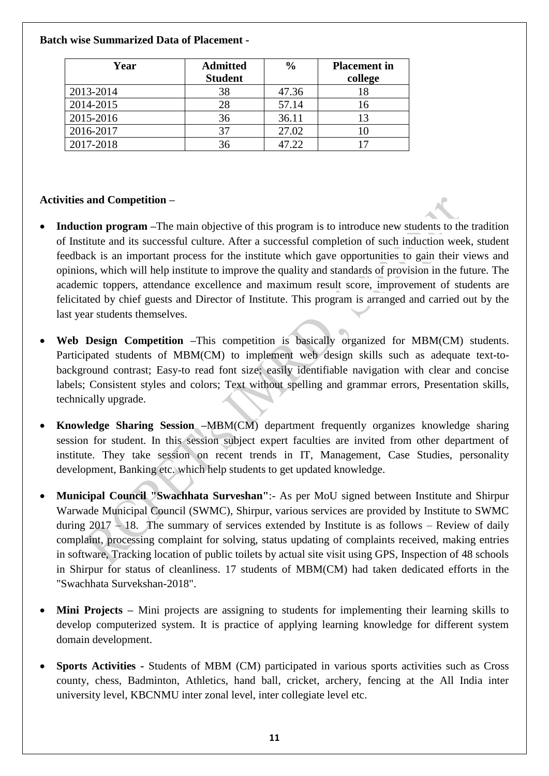## **Batch wise Summarized Data of Placement -**

| Year      | <b>Admitted</b> | $\frac{0}{0}$ | <b>Placement</b> in |
|-----------|-----------------|---------------|---------------------|
|           | <b>Student</b>  |               | college             |
| 2013-2014 | 38              | 47.36         | 18                  |
| 2014-2015 | 28              | 57.14         | 16                  |
| 2015-2016 | 36              | 36.11         | 13                  |
| 2016-2017 | 37              | 27.02         | 10                  |
| 2017-2018 | 36              | .7.22         |                     |

## **Activities and Competition –**

- **Induction program** –The main objective of this program is to introduce new students to the tradition of Institute and its successful culture. After a successful completion of such induction week, student feedback is an important process for the institute which gave opportunities to gain their views and opinions, which will help institute to improve the quality and standards of provision in the future. The academic toppers, attendance excellence and maximum result score, improvement of students are felicitated by chief guests and Director of Institute. This program is arranged and carried out by the last year students themselves.
- **Web Design Competition –**This competition is basically organized for MBM(CM) students. Participated students of MBM(CM) to implement web design skills such as adequate text-tobackground contrast; Easy-to read font size; easily identifiable navigation with clear and concise labels; Consistent styles and colors; Text without spelling and grammar errors, Presentation skills, technically upgrade.
- **Knowledge Sharing Session –**MBM(CM) department frequently organizes knowledge sharing session for student. In this session subject expert faculties are invited from other department of institute. They take session on recent trends in IT, Management, Case Studies, personality development, Banking etc. which help students to get updated knowledge.
- **Municipal Council "Swachhata Surveshan"**:- As per MoU signed between Institute and Shirpur Warwade Municipal Council (SWMC), Shirpur, various services are provided by Institute to SWMC during  $2017 - 18$ . The summary of services extended by Institute is as follows – Review of daily complaint, processing complaint for solving, status updating of complaints received, making entries in software, Tracking location of public toilets by actual site visit using GPS, Inspection of 48 schools in Shirpur for status of cleanliness. 17 students of MBM(CM) had taken dedicated efforts in the "Swachhata Survekshan-2018".
- **Mini Projects –** Mini projects are assigning to students for implementing their learning skills to develop computerized system. It is practice of applying learning knowledge for different system domain development.
- **Sports Activities -** Students of MBM (CM) participated in various sports activities such as Cross county, chess, Badminton, Athletics, hand ball, cricket, archery, fencing at the All India inter university level, KBCNMU inter zonal level, inter collegiate level etc.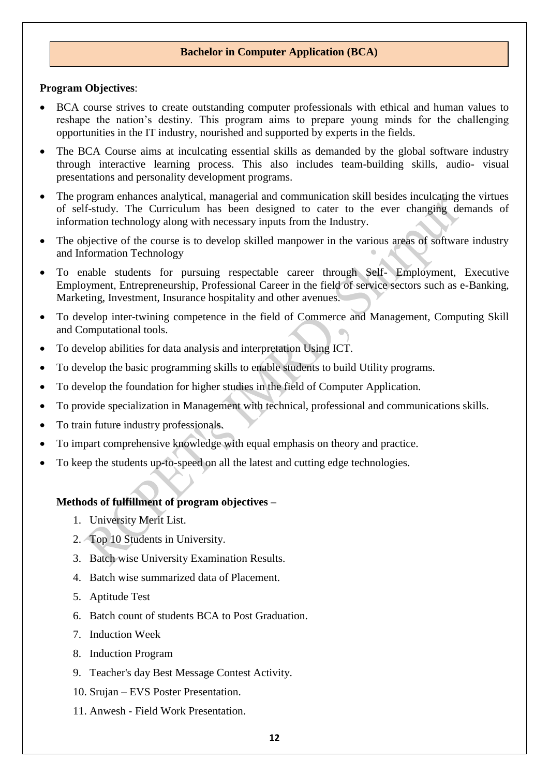### **Bachelor in Computer Application (BCA)**

#### **Program Objectives**:

- BCA course strives to create outstanding computer professionals with ethical and human values to reshape the nation's destiny. This program aims to prepare young minds for the challenging opportunities in the IT industry, nourished and supported by experts in the fields.
- The BCA Course aims at inculcating essential skills as demanded by the global software industry through interactive learning process. This also includes team-building skills, audio- visual presentations and personality development programs.
- The program enhances analytical, managerial and communication skill besides inculcating the virtues of self-study. The Curriculum has been designed to cater to the ever changing demands of information technology along with necessary inputs from the Industry.
- The objective of the course is to develop skilled manpower in the various areas of software industry and Information Technology
- To enable students for pursuing respectable career through Self- Employment, Executive Employment, Entrepreneurship, Professional Career in the field of service sectors such as e-Banking, Marketing, Investment, Insurance hospitality and other avenues.
- To develop inter-twining competence in the field of Commerce and Management, Computing Skill and Computational tools.
- To develop abilities for data analysis and interpretation Using ICT.
- To develop the basic programming skills to enable students to build Utility programs.
- To develop the foundation for higher studies in the field of Computer Application.
- To provide specialization in Management with technical, professional and communications skills.
- To train future industry professionals.
- To impart comprehensive knowledge with equal emphasis on theory and practice.
- To keep the students up-to-speed on all the latest and cutting edge technologies.

### **Methods of fulfillment of program objectives –**

- 1. University Merit List.
- 2. Top 10 Students in University.
- 3. Batch wise University Examination Results.
- 4. Batch wise summarized data of Placement.
- 5. Aptitude Test
- 6. Batch count of students BCA to Post Graduation.
- 7. Induction Week
- 8. Induction Program
- 9. Teacher's day Best Message Contest Activity.
- 10. Srujan EVS Poster Presentation.
- 11. Anwesh Field Work Presentation.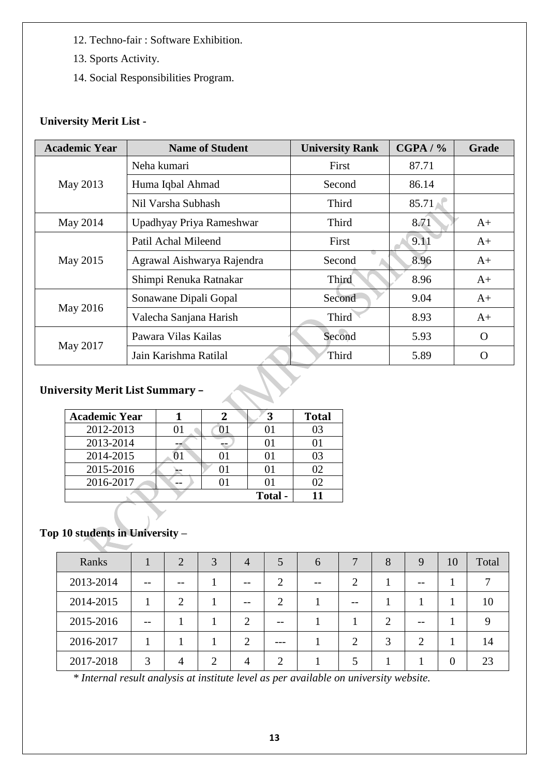- 12. Techno-fair : Software Exhibition.
- 13. Sports Activity.
- 14. Social Responsibilities Program.

## **University Merit List -**

| <b>Academic Year</b> | <b>Name of Student</b>     | <b>University Rank</b> | CGPA / % | <b>Grade</b> |
|----------------------|----------------------------|------------------------|----------|--------------|
|                      | Neha kumari                | First                  | 87.71    |              |
| May 2013             | Huma Iqbal Ahmad           | Second                 | 86.14    |              |
|                      | Nil Varsha Subhash         | Third                  | 85.71    |              |
| May 2014             | Upadhyay Priya Rameshwar   | Third                  | 8.71     | $A+$         |
|                      | Patil Achal Mileend        | First                  | 9.11     | $A+$         |
| May 2015             | Agrawal Aishwarya Rajendra | Second                 | 8.96     | $A+$         |
|                      | Shimpi Renuka Ratnakar     | Third                  | 8.96     | $A+$         |
|                      | Sonawane Dipali Gopal      | Second                 | 9.04     | $A+$         |
| May 2016             | Valecha Sanjana Harish     | Third                  | 8.93     | $A+$         |
|                      | Pawara Vilas Kailas        | Second                 | 5.93     | $\Omega$     |
| May 2017             | Jain Karishma Ratilal      | Third                  | 5.89     | $\Omega$     |

## **University Merit List Summary –**

| <b>Academic Year</b> |  | 3       | <b>Total</b> |
|----------------------|--|---------|--------------|
| 2012-2013            |  |         |              |
| 2013-2014            |  |         |              |
| 2014-2015            |  |         |              |
| 2015-2016            |  |         |              |
| 2016-2017            |  |         |              |
|                      |  | Total - |              |

## **Top 10 students in University –**

| Ranks     |       | 2  | 3 | $\overline{4}$ | 5     | h | 7  | 8             | 9              | 10 | Total |
|-----------|-------|----|---|----------------|-------|---|----|---------------|----------------|----|-------|
| 2013-2014 | $- -$ | -- |   | $- -$          | ി     |   | ◠  |               |                |    |       |
| 2014-2015 |       | 2  |   | $- -$          | 2     |   | -- |               |                |    | 10    |
| 2015-2016 | $- -$ |    |   | $\overline{2}$ | $- -$ |   |    | 2             |                |    |       |
| 2016-2017 |       |    |   | ↑              |       |   | っ  | $\mathcal{R}$ | $\overline{2}$ |    | 14    |
| 2017-2018 | 3     | 4  |   | 4              | ⌒     |   |    |               |                | 0  | 23    |

*\* Internal result analysis at institute level as per available on university website.*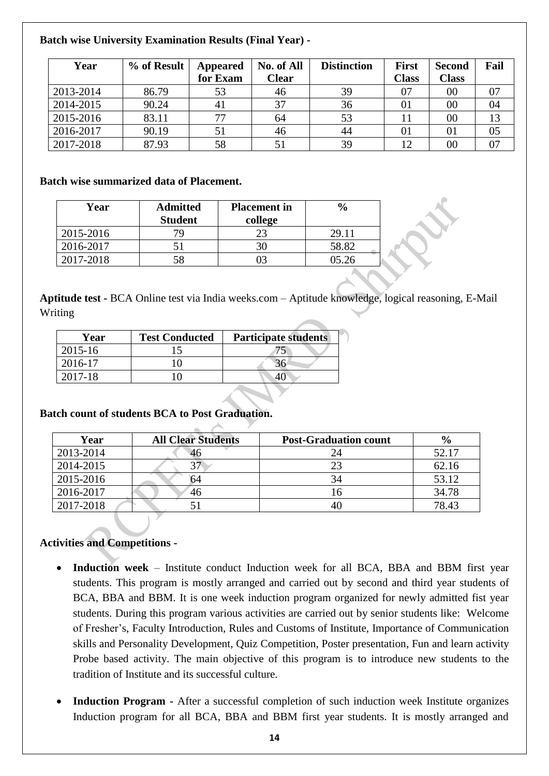## **Batch wise University Examination Results (Final Year) -**

| Year      | % of Result | <b>Appeared</b><br>for Exam | No. of All<br><b>Clear</b> | <b>Distinction</b> | <b>First</b><br><b>Class</b> | <b>Second</b><br><b>Class</b> | Fail |
|-----------|-------------|-----------------------------|----------------------------|--------------------|------------------------------|-------------------------------|------|
| 2013-2014 | 86.79       |                             | 46                         | 39                 | 07                           | 00                            | 07   |
| 2014-2015 | 90.24       | 41                          | 37                         | 36                 | 01                           | 00                            | 04   |
| 2015-2016 | 83.11       | 77                          | 64                         | 53                 |                              | 00                            | 13   |
| 2016-2017 | 90.19       |                             | 46                         | 44                 | 01                           | 01                            | 05   |
| 2017-2018 | 87.93       | 58                          |                            | 39                 | 12                           | 00                            | 07   |

## **Batch wise summarized data of Placement.**

| Year      | <b>Admitted</b><br><b>Student</b> | <b>Placement</b> in<br>college | $\frac{0}{0}$ |
|-----------|-----------------------------------|--------------------------------|---------------|
| 2015-2016 |                                   | 23                             | 29.11         |
| 2016-2017 |                                   | 30                             | 58.82         |
| 2017-2018 | 58                                |                                | 05.26         |

**Aptitude test -** BCA Online test via India weeks.com – Aptitude knowledge, logical reasoning, E-Mail Writing

| Year    | <b>Test Conducted</b> | <b>Participate students</b> |
|---------|-----------------------|-----------------------------|
| 2015-16 |                       |                             |
| 2016-17 |                       |                             |
| 2017-18 |                       |                             |

## **Batch count of students BCA to Post Graduation.**

| Year      | <b>All Clear Students</b> | <b>Post-Graduation count</b> | $\frac{6}{9}$ |
|-----------|---------------------------|------------------------------|---------------|
| 2013-2014 |                           |                              | 52.17         |
| 2014-2015 |                           | 23                           | 62.16         |
| 2015-2016 | h4                        | 34                           | 53.12         |
| 2016-2017 | 46                        | 16                           | 34.78         |
| 2017-2018 |                           | 40                           | 78.43         |

## **Activities and Competitions -**

- **Induction week** Institute conduct Induction week for all BCA, BBA and BBM first year students. This program is mostly arranged and carried out by second and third year students of BCA, BBA and BBM. It is one week induction program organized for newly admitted fist year students. During this program various activities are carried out by senior students like: Welcome of Fresher's, Faculty Introduction, Rules and Customs of Institute, Importance of Communication skills and Personality Development, Quiz Competition, Poster presentation, Fun and learn activity Probe based activity. The main objective of this program is to introduce new students to the tradition of Institute and its successful culture.
- **Induction Program** After a successful completion of such induction week Institute organizes Induction program for all BCA, BBA and BBM first year students. It is mostly arranged and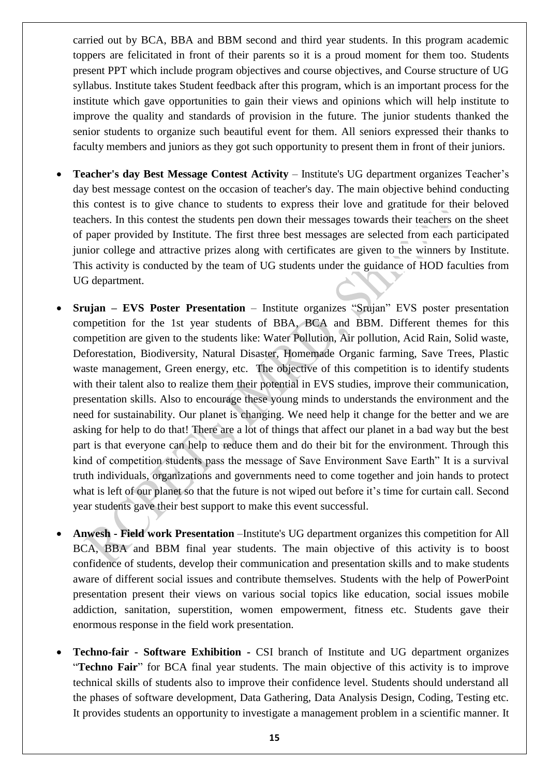carried out by BCA, BBA and BBM second and third year students. In this program academic toppers are felicitated in front of their parents so it is a proud moment for them too. Students present PPT which include program objectives and course objectives, and Course structure of UG syllabus. Institute takes Student feedback after this program, which is an important process for the institute which gave opportunities to gain their views and opinions which will help institute to improve the quality and standards of provision in the future. The junior students thanked the senior students to organize such beautiful event for them. All seniors expressed their thanks to faculty members and juniors as they got such opportunity to present them in front of their juniors.

- **Teacher's day Best Message Contest Activity** Institute's UG department organizes Teacher's day best message contest on the occasion of teacher's day. The main objective behind conducting this contest is to give chance to students to express their love and gratitude for their beloved teachers. In this contest the students pen down their messages towards their teachers on the sheet of paper provided by Institute. The first three best messages are selected from each participated junior college and attractive prizes along with certificates are given to the winners by Institute. This activity is conducted by the team of UG students under the guidance of HOD faculties from UG department.
- **Srujan – EVS Poster Presentation** Institute organizes "Srujan" EVS poster presentation competition for the 1st year students of BBA, BCA and BBM. Different themes for this competition are given to the students like: Water Pollution, Air pollution, Acid Rain, Solid waste, Deforestation, Biodiversity, Natural Disaster, Homemade Organic farming, Save Trees, Plastic waste management, Green energy, etc. The objective of this competition is to identify students with their talent also to realize them their potential in EVS studies, improve their communication, presentation skills. Also to encourage these young minds to understands the environment and the need for sustainability. Our planet is changing. We need help it change for the better and we are asking for help to do that! There are a lot of things that affect our planet in a bad way but the best part is that everyone can help to reduce them and do their bit for the environment. Through this kind of competition students pass the message of Save Environment Save Earth" It is a survival truth individuals, organizations and governments need to come together and join hands to protect what is left of our planet so that the future is not wiped out before it's time for curtain call. Second year students gave their best support to make this event successful.
- **Anwesh - Field work Presentation** –Institute's UG department organizes this competition for All BCA, BBA and BBM final year students. The main objective of this activity is to boost confidence of students, develop their communication and presentation skills and to make students aware of different social issues and contribute themselves. Students with the help of PowerPoint presentation present their views on various social topics like education, social issues mobile addiction, sanitation, superstition, women empowerment, fitness etc. Students gave their enormous response in the field work presentation.
- **Techno-fair - Software Exhibition -** CSI branch of Institute and UG department organizes "**Techno Fair**" for BCA final year students. The main objective of this activity is to improve technical skills of students also to improve their confidence level. Students should understand all the phases of software development, Data Gathering, Data Analysis Design, Coding, Testing etc. It provides students an opportunity to investigate a management problem in a scientific manner. It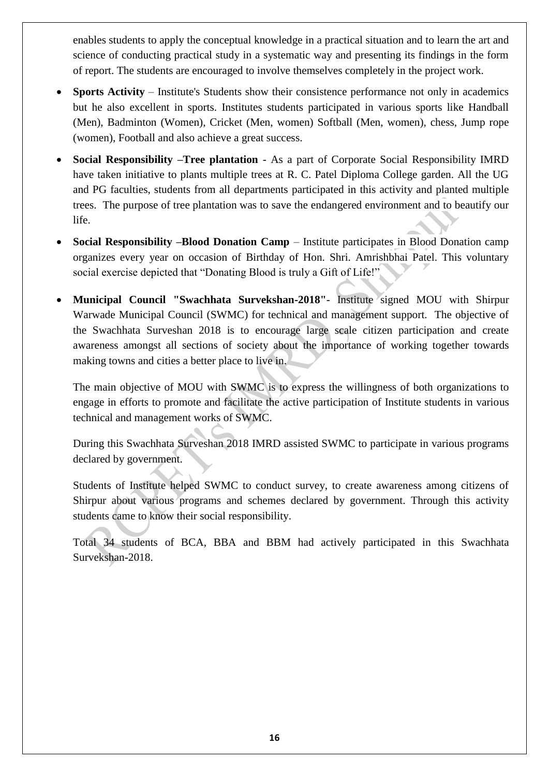enables students to apply the conceptual knowledge in a practical situation and to learn the art and science of conducting practical study in a systematic way and presenting its findings in the form of report. The students are encouraged to involve themselves completely in the project work.

- **Sports Activity** Institute's Students show their consistence performance not only in academics but he also excellent in sports. Institutes students participated in various sports like Handball (Men), Badminton (Women), Cricket (Men, women) Softball (Men, women), chess, Jump rope (women), Football and also achieve a great success.
- **Social Responsibility –Tree plantation**  As a part of Corporate Social Responsibility IMRD have taken initiative to plants multiple trees at R. C. Patel Diploma College garden. All the UG and PG faculties, students from all departments participated in this activity and planted multiple trees. The purpose of tree plantation was to save the endangered environment and to beautify our life.
- **Social Responsibility –Blood Donation Camp**  Institute participates in Blood Donation camp organizes every year on occasion of Birthday of Hon. Shri. Amrishbhai Patel. This voluntary social exercise depicted that "Donating Blood is truly a Gift of Life!"
- **Municipal Council "Swachhata Survekshan-2018"** Institute signed MOU with Shirpur Warwade Municipal Council (SWMC) for technical and management support. The objective of the Swachhata Surveshan 2018 is to encourage large scale citizen participation and create awareness amongst all sections of society about the importance of working together towards making towns and cities a better place to live in.

The main objective of MOU with SWMC is to express the willingness of both organizations to engage in efforts to promote and facilitate the active participation of Institute students in various technical and management works of SWMC.

During this Swachhata Surveshan 2018 IMRD assisted SWMC to participate in various programs declared by government.

Students of Institute helped SWMC to conduct survey, to create awareness among citizens of Shirpur about various programs and schemes declared by government. Through this activity students came to know their social responsibility.

Total 34 students of BCA, BBA and BBM had actively participated in this Swachhata Survekshan-2018.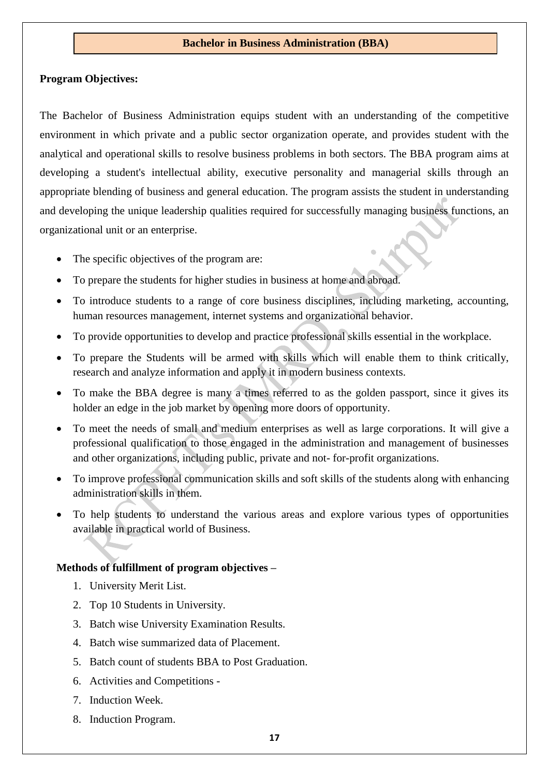#### **Bachelor in Business Administration (BBA)**

#### **Program Objectives:**

The Bachelor of Business Administration equips student with an understanding of the competitive environment in which private and a public sector organization operate, and provides student with the analytical and operational skills to resolve business problems in both sectors. The BBA program aims at developing a student's intellectual ability, executive personality and managerial skills through an appropriate blending of business and general education. The program assists the student in understanding and developing the unique leadership qualities required for successfully managing business functions, an organizational unit or an enterprise.

- The specific objectives of the program are:
- To prepare the students for higher studies in business at home and abroad.
- To introduce students to a range of core business disciplines, including marketing, accounting, human resources management, internet systems and organizational behavior.
- To provide opportunities to develop and practice professional skills essential in the workplace.
- To prepare the Students will be armed with skills which will enable them to think critically, research and analyze information and apply it in modern business contexts.
- To make the BBA degree is many a times referred to as the golden passport, since it gives its holder an edge in the job market by opening more doors of opportunity.
- To meet the needs of small and medium enterprises as well as large corporations. It will give a professional qualification to those engaged in the administration and management of businesses and other organizations, including public, private and not- for-profit organizations.
- To improve professional communication skills and soft skills of the students along with enhancing administration skills in them.
- To help students to understand the various areas and explore various types of opportunities available in practical world of Business.

#### **Methods of fulfillment of program objectives –**

- 1. University Merit List.
- 2. Top 10 Students in University.
- 3. Batch wise University Examination Results.
- 4. Batch wise summarized data of Placement.
- 5. Batch count of students BBA to Post Graduation.
- 6. Activities and Competitions -
- 7. Induction Week.
- 8. Induction Program.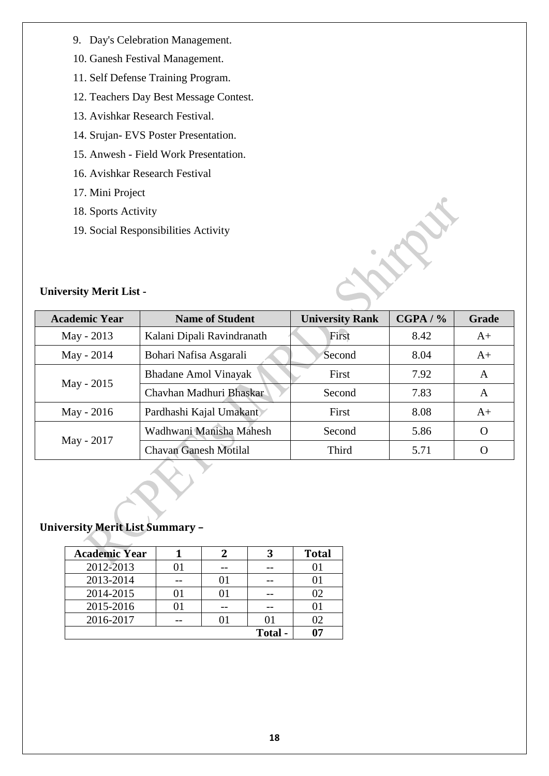- 9. Day's Celebration Management.
- 10. Ganesh Festival Management.
- 11. Self Defense Training Program.
- 12. Teachers Day Best Message Contest.
- 13. Avishkar Research Festival.
- 14. Srujan- EVS Poster Presentation.
- 15. Anwesh Field Work Presentation.
- 16. Avishkar Research Festival
- 17. Mini Project

**University Merit List -**

- 18. Sports Activity
- 19. Social Responsibilities Activity

| <b>Academic Year</b> | <b>Name of Student</b>       | <b>University Rank</b> | CGPA / % | Grade            |
|----------------------|------------------------------|------------------------|----------|------------------|
| May - 2013           | Kalani Dipali Ravindranath   | First                  | 8.42     | $A+$             |
| May - 2014           | Bohari Nafisa Asgarali       | Second                 | 8.04     | $A+$             |
|                      | <b>Bhadane Amol Vinayak</b>  | First                  | 7.92     | A                |
| May - 2015           | Chavhan Madhuri Bhaskar      | Second                 | 7.83     | A                |
| May - 2016           | Pardhashi Kajal Umakant      | First                  | 8.08     | $A+$             |
|                      | Wadhwani Manisha Mahesh      | Second                 | 5.86     | O                |
| May - 2017           | <b>Chavan Ganesh Motilal</b> | Third                  | 5.71     | $\left( \right)$ |

 $\frac{1}{2}$ 

## **University Merit List Summary –**

| <b>Academic Year</b> |         | ર       | <b>Total</b> |
|----------------------|---------|---------|--------------|
| 2012-2013            |         |         |              |
| 2013-2014            | 01      |         |              |
| 2014-2015            | $^{01}$ |         | 02           |
| 2015-2016            |         |         | O1           |
| 2016-2017            | $^{01}$ |         | 02           |
|                      |         | Total - |              |
|                      |         |         |              |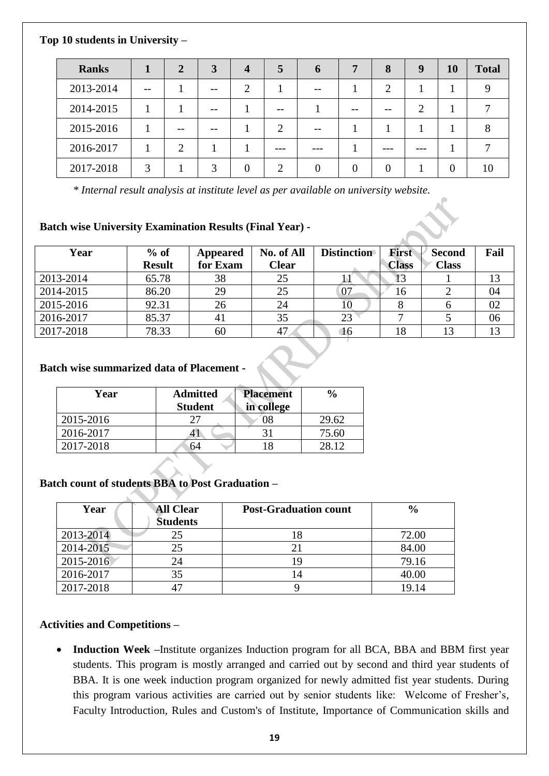**Top 10 students in University –**

| <b>Ranks</b> |       | $\mathbf{2}$ | 3             | $\boldsymbol{4}$ | 5              | 6 | 7  | 8              | 9                           | <b>10</b> | <b>Total</b> |
|--------------|-------|--------------|---------------|------------------|----------------|---|----|----------------|-----------------------------|-----------|--------------|
| 2013-2014    | $- -$ |              |               | ◠                |                |   |    | $\overline{2}$ |                             |           |              |
| 2014-2015    |       |              | --            |                  | $- -$          |   | -- | $- -$          | $\mathcal{D}_{\mathcal{L}}$ |           |              |
| 2015-2016    |       | --           |               |                  | $\overline{2}$ |   |    |                |                             |           | $\circ$      |
| 2016-2017    |       | ာ            |               |                  |                |   |    |                |                             |           |              |
| 2017-2018    | 3     |              | $\mathcal{F}$ |                  | ◠              |   |    | $\Omega$       |                             | 0         | 10           |

*\* Internal result analysis at institute level as per available on university website.*

## **Batch wise University Examination Results (Final Year) -**

| Year      | $%$ of        | Appeared       | No. of All   | <b>Distinction</b> | <b>First</b> | <b>Second</b> | Fail |
|-----------|---------------|----------------|--------------|--------------------|--------------|---------------|------|
|           | <b>Result</b> | for Exam       | <b>Clear</b> |                    | <b>Class</b> | <b>Class</b>  |      |
| 2013-2014 | 65.78         | 38             | 25           |                    |              |               | 13   |
| 2014-2015 | 86.20         | 29             | 25           | 07                 | 16           |               | 04   |
| 2015-2016 | 92.31         | 26             | 24           |                    |              |               | 02   |
| 2016-2017 | 85.37         | 4 <sub>1</sub> | 35           | 23                 |              |               | 06   |
| 2017-2018 | 78.33         | 60             | 47           | 10                 | 18           |               |      |

# **Batch wise summarized data of Placement -**

| Year      | <b>Admitted</b><br><b>Student</b> | <b>Placement</b><br>in college | $\frac{0}{0}$ |
|-----------|-----------------------------------|--------------------------------|---------------|
| 2015-2016 |                                   |                                | 29.62         |
| 2016-2017 |                                   |                                | 75.60         |
| 2017-2018 | גר                                |                                | 28 12         |

## **Batch count of students BBA to Post Graduation –**

| Year      | <b>All Clear</b><br><b>Students</b> | <b>Post-Graduation count</b> | $\frac{6}{6}$ |
|-----------|-------------------------------------|------------------------------|---------------|
| 2013-2014 | 25                                  |                              | 72.00         |
| 2014-2015 | 25                                  |                              | 84.00         |
| 2015-2016 | 24                                  |                              | 79.16         |
| 2016-2017 | 35                                  |                              | 40.00         |
| 2017-2018 |                                     |                              | 19.14         |

## **Activities and Competitions –**

• **Induction Week –**Institute organizes Induction program for all BCA, BBA and BBM first year students. This program is mostly arranged and carried out by second and third year students of BBA. It is one week induction program organized for newly admitted fist year students. During this program various activities are carried out by senior students like: Welcome of Fresher's, Faculty Introduction, Rules and Custom's of Institute, Importance of Communication skills and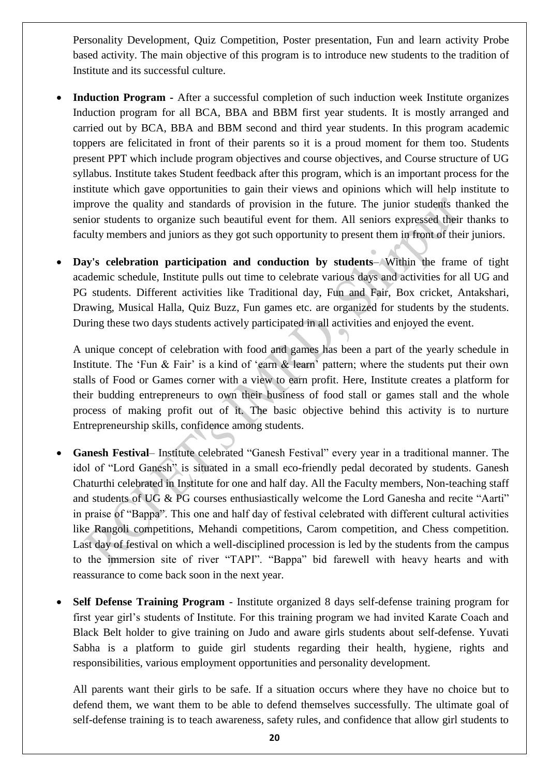Personality Development, Quiz Competition, Poster presentation, Fun and learn activity Probe based activity. The main objective of this program is to introduce new students to the tradition of Institute and its successful culture.

- **Induction Program -** After a successful completion of such induction week Institute organizes Induction program for all BCA, BBA and BBM first year students. It is mostly arranged and carried out by BCA, BBA and BBM second and third year students. In this program academic toppers are felicitated in front of their parents so it is a proud moment for them too. Students present PPT which include program objectives and course objectives, and Course structure of UG syllabus. Institute takes Student feedback after this program, which is an important process for the institute which gave opportunities to gain their views and opinions which will help institute to improve the quality and standards of provision in the future. The junior students thanked the senior students to organize such beautiful event for them. All seniors expressed their thanks to faculty members and juniors as they got such opportunity to present them in front of their juniors.
- **Day's celebration participation and conduction by students** Within the frame of tight academic schedule, Institute pulls out time to celebrate various days and activities for all UG and PG students. Different activities like Traditional day, Fun and Fair, Box cricket, Antakshari, Drawing, Musical Halla, Quiz Buzz, Fun games etc. are organized for students by the students. During these two days students actively participated in all activities and enjoyed the event.

A unique concept of celebration with food and games has been a part of the yearly schedule in Institute. The 'Fun & Fair' is a kind of 'earn & learn' pattern; where the students put their own stalls of Food or Games corner with a view to earn profit. Here, Institute creates a platform for their budding entrepreneurs to own their business of food stall or games stall and the whole process of making profit out of it. The basic objective behind this activity is to nurture Entrepreneurship skills, confidence among students.

- **Ganesh Festival** Institute celebrated "Ganesh Festival" every year in a traditional manner. The idol of "Lord Ganesh" is situated in a small eco-friendly pedal decorated by students. Ganesh Chaturthi celebrated in Institute for one and half day. All the Faculty members, Non-teaching staff and students of UG & PG courses enthusiastically welcome the Lord Ganesha and recite "Aarti" in praise of "Bappa". This one and half day of festival celebrated with different cultural activities like Rangoli competitions, Mehandi competitions, Carom competition, and Chess competition. Last day of festival on which a well-disciplined procession is led by the students from the campus to the immersion site of river "TAPI". "Bappa" bid farewell with heavy hearts and with reassurance to come back soon in the next year.
- **Self Defense Training Program**  Institute organized 8 days self-defense training program for first year girl's students of Institute. For this training program we had invited Karate Coach and Black Belt holder to give training on Judo and aware girls students about self-defense. Yuvati Sabha is a platform to guide girl students regarding their health, hygiene, rights and responsibilities, various employment opportunities and personality development.

All parents want their girls to be safe. If a situation occurs where they have no choice but to defend them, we want them to be able to defend themselves successfully. The ultimate goal of self-defense training is to teach awareness, safety rules, and confidence that allow girl students to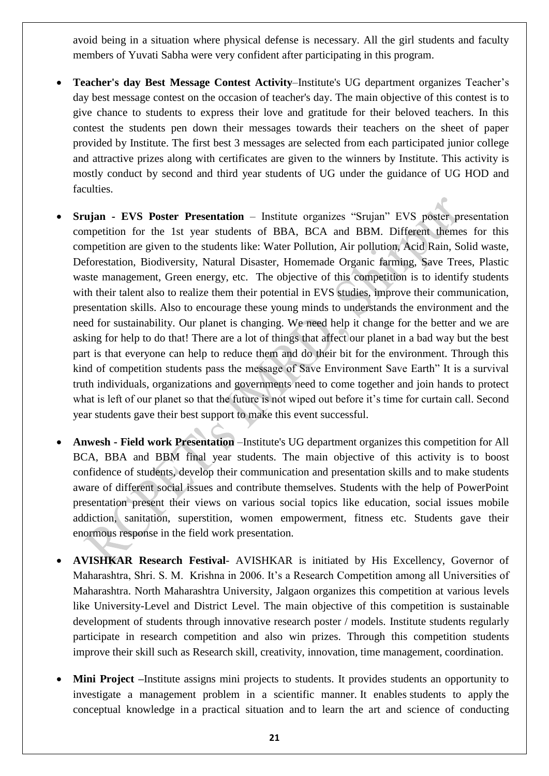avoid being in a situation where physical defense is necessary. All the girl students and faculty members of Yuvati Sabha were very confident after participating in this program.

- **Teacher's day Best Message Contest Activity**–Institute's UG department organizes Teacher's day best message contest on the occasion of teacher's day. The main objective of this contest is to give chance to students to express their love and gratitude for their beloved teachers. In this contest the students pen down their messages towards their teachers on the sheet of paper provided by Institute. The first best 3 messages are selected from each participated junior college and attractive prizes along with certificates are given to the winners by Institute. This activity is mostly conduct by second and third year students of UG under the guidance of UG HOD and faculties.
- **Srujan - EVS Poster Presentation** Institute organizes "Srujan" EVS poster presentation competition for the 1st year students of BBA, BCA and BBM. Different themes for this competition are given to the students like: Water Pollution, Air pollution, Acid Rain, Solid waste, Deforestation, Biodiversity, Natural Disaster, Homemade Organic farming, Save Trees, Plastic waste management, Green energy, etc. The objective of this competition is to identify students with their talent also to realize them their potential in EVS studies, improve their communication, presentation skills. Also to encourage these young minds to understands the environment and the need for sustainability. Our planet is changing. We need help it change for the better and we are asking for help to do that! There are a lot of things that affect our planet in a bad way but the best part is that everyone can help to reduce them and do their bit for the environment. Through this kind of competition students pass the message of Save Environment Save Earth" It is a survival truth individuals, organizations and governments need to come together and join hands to protect what is left of our planet so that the future is not wiped out before it's time for curtain call. Second year students gave their best support to make this event successful.
- **Anwesh - Field work Presentation** –Institute's UG department organizes this competition for All BCA, BBA and BBM final year students. The main objective of this activity is to boost confidence of students, develop their communication and presentation skills and to make students aware of different social issues and contribute themselves. Students with the help of PowerPoint presentation present their views on various social topics like education, social issues mobile addiction, sanitation, superstition, women empowerment, fitness etc. Students gave their enormous response in the field work presentation.
- **AVISHKAR Research Festival** AVISHKAR is initiated by His Excellency, Governor of Maharashtra, Shri. S. M. Krishna in 2006. It's a Research Competition among all Universities of Maharashtra. North Maharashtra University, Jalgaon organizes this competition at various levels like University-Level and District Level. The main objective of this competition is sustainable development of students through innovative research poster / models. Institute students regularly participate in research competition and also win prizes. Through this competition students improve their skill such as Research skill, creativity, innovation, time management, coordination.
- **Mini Project –**Institute assigns mini projects to students. It provides students an opportunity to investigate a management problem in a scientific manner. It enables students to apply the conceptual knowledge in a practical situation and to learn the art and science of conducting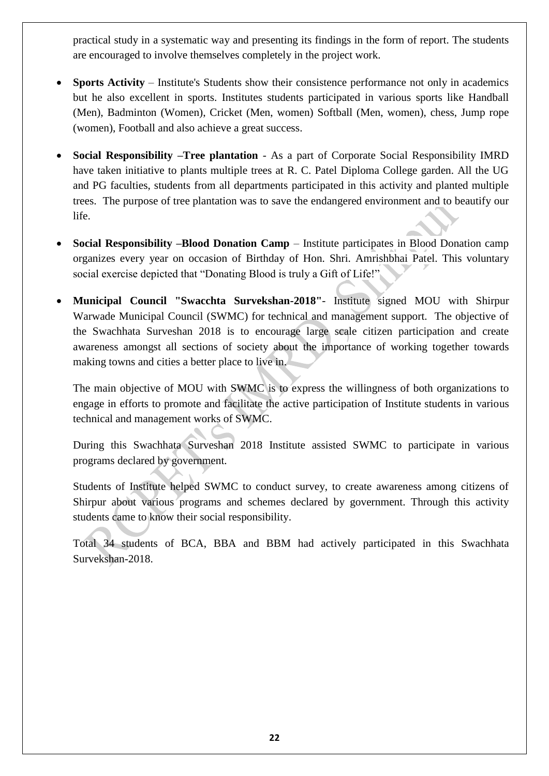practical study in a systematic way and presenting its findings in the form of report. The students are encouraged to involve themselves completely in the project work.

- **Sports Activity** Institute's Students show their consistence performance not only in academics but he also excellent in sports. Institutes students participated in various sports like Handball (Men), Badminton (Women), Cricket (Men, women) Softball (Men, women), chess, Jump rope (women), Football and also achieve a great success.
- **Social Responsibility –Tree plantation**  As a part of Corporate Social Responsibility IMRD have taken initiative to plants multiple trees at R. C. Patel Diploma College garden. All the UG and PG faculties, students from all departments participated in this activity and planted multiple trees. The purpose of tree plantation was to save the endangered environment and to beautify our life.
- **Social Responsibility –Blood Donation Camp**  Institute participates in Blood Donation camp organizes every year on occasion of Birthday of Hon. Shri. Amrishbhai Patel. This voluntary social exercise depicted that "Donating Blood is truly a Gift of Life!"
- **Municipal Council "Swacchta Survekshan-2018"** Institute signed MOU with Shirpur Warwade Municipal Council (SWMC) for technical and management support. The objective of the Swachhata Surveshan 2018 is to encourage large scale citizen participation and create awareness amongst all sections of society about the importance of working together towards making towns and cities a better place to live in.

The main objective of MOU with SWMC is to express the willingness of both organizations to engage in efforts to promote and facilitate the active participation of Institute students in various technical and management works of SWMC.

During this Swachhata Surveshan 2018 Institute assisted SWMC to participate in various programs declared by government.

Students of Institute helped SWMC to conduct survey, to create awareness among citizens of Shirpur about various programs and schemes declared by government. Through this activity students came to know their social responsibility.

Total 34 students of BCA, BBA and BBM had actively participated in this Swachhata Survekshan-2018.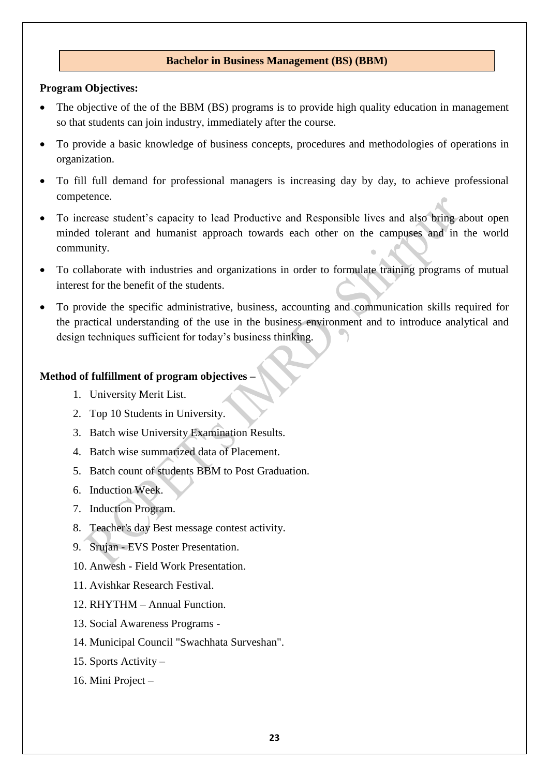### **Bachelor in Business Management (BS) (BBM)**

#### **Program Objectives:**

- The objective of the of the BBM (BS) programs is to provide high quality education in management so that students can join industry, immediately after the course.
- To provide a basic knowledge of business concepts, procedures and methodologies of operations in organization.
- To fill full demand for professional managers is increasing day by day, to achieve professional competence.
- To increase student's capacity to lead Productive and Responsible lives and also bring about open minded tolerant and humanist approach towards each other on the campuses and in the world community.
- To collaborate with industries and organizations in order to formulate training programs of mutual interest for the benefit of the students.
- To provide the specific administrative, business, accounting and communication skills required for the practical understanding of the use in the business environment and to introduce analytical and design techniques sufficient for today's business thinking.

#### **Method of fulfillment of program objectives –**

- 1. University Merit List.
- 2. Top 10 Students in University.
- 3. Batch wise University Examination Results.
- 4. Batch wise summarized data of Placement.
- 5. Batch count of students BBM to Post Graduation.
- 6. Induction Week.
- 7. Induction Program.
- 8. Teacher's day Best message contest activity.
- 9. Srujan EVS Poster Presentation.
- 10. Anwesh Field Work Presentation.
- 11. Avishkar Research Festival.
- 12. RHYTHM Annual Function.
- 13. Social Awareness Programs -
- 14. Municipal Council "Swachhata Surveshan".
- 15. Sports Activity –
- 16. Mini Project –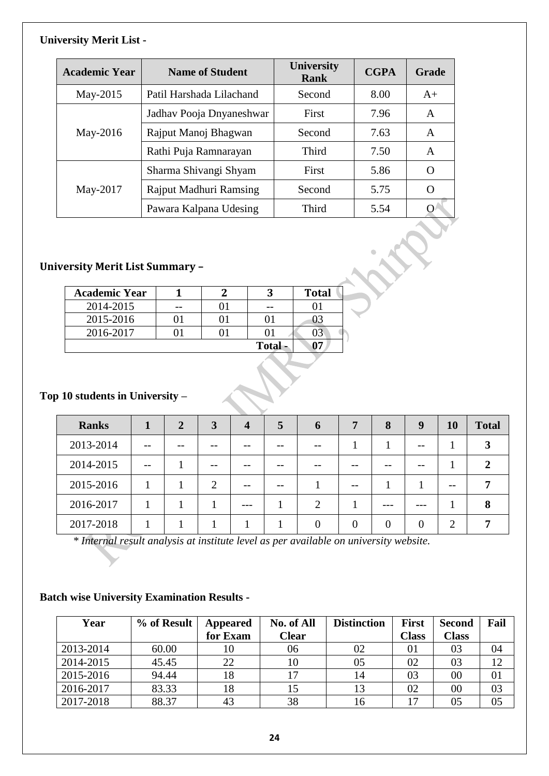### **University Merit List -**

| <b>Academic Year</b> | <b>Name of Student</b>   | <b>University</b><br><b>Rank</b> | <b>CGPA</b> | <b>Grade</b>     |
|----------------------|--------------------------|----------------------------------|-------------|------------------|
| May-2015             | Patil Harshada Lilachand | Second                           | 8.00        | $A+$             |
|                      | Jadhav Pooja Dnyaneshwar | First                            | 7.96        | A                |
| May-2016             | Rajput Manoj Bhagwan     | Second                           | 7.63        | A                |
|                      | Rathi Puja Ramnarayan    | Third                            | 7.50        | A                |
|                      | Sharma Shivangi Shyam    | First                            | 5.86        | $\mathcal{L}$    |
| May-2017             | Rajput Madhuri Ramsing   | Second                           | 5.75        | $\left( \right)$ |
|                      | Pawara Kalpana Udesing   | Third                            | 5.54        | $\left( \right)$ |

## **University Merit List Summary –**

| <b>Academic Year</b> |  |        | <b>Total</b> |
|----------------------|--|--------|--------------|
| 2014-2015            |  |        |              |
| 2015-2016            |  |        | JЗ           |
| 2016-2017            |  |        | )3           |
|                      |  | Total- |              |

## **Top 10 students in University –**

| <b>Ranks</b> |       | 2 | 3 | $\boldsymbol{4}$ | $\overline{5}$ | $\mathbf b$   | 7  | 8 | 9 | <b>10</b>                   | <b>Total</b> |
|--------------|-------|---|---|------------------|----------------|---------------|----|---|---|-----------------------------|--------------|
| 2013-2014    |       |   |   |                  |                |               |    |   |   |                             | 3            |
| 2014-2015    | $- -$ |   |   |                  |                |               |    |   |   |                             |              |
| 2015-2016    |       |   | 2 |                  |                |               | -- |   |   | --                          |              |
| 2016-2017    |       |   |   | ---              |                | $\mathcal{D}$ |    |   |   |                             | 8            |
| 2017-2018    |       |   |   |                  |                |               | 0  |   | 0 | $\mathcal{D}_{\mathcal{L}}$ |              |

*\* Internal result analysis at institute level as per available on university website.*

## **Batch wise University Examination Results -**

| Year      | % of Result | Appeared | No. of All   | <b>Distinction</b> | <b>First</b> | <b>Second</b> | Fail |
|-----------|-------------|----------|--------------|--------------------|--------------|---------------|------|
|           |             | for Exam | <b>Clear</b> |                    | <b>Class</b> | <b>Class</b>  |      |
| 2013-2014 | 60.00       | 10       | 06           | 02                 | 01           | 03            | 04   |
| 2014-2015 | 45.45       | 22       | 10           | 05                 | 02           | 03            | 12   |
| 2015-2016 | 94.44       | 18       |              | 14                 | 03           | 00            | 01   |
| 2016-2017 | 83.33       | 18       | 15           | 13                 | 02           | $00\,$        | 03   |
| 2017-2018 | 88.37       | 43       | 38           | 16                 | 17           | 05            | 05   |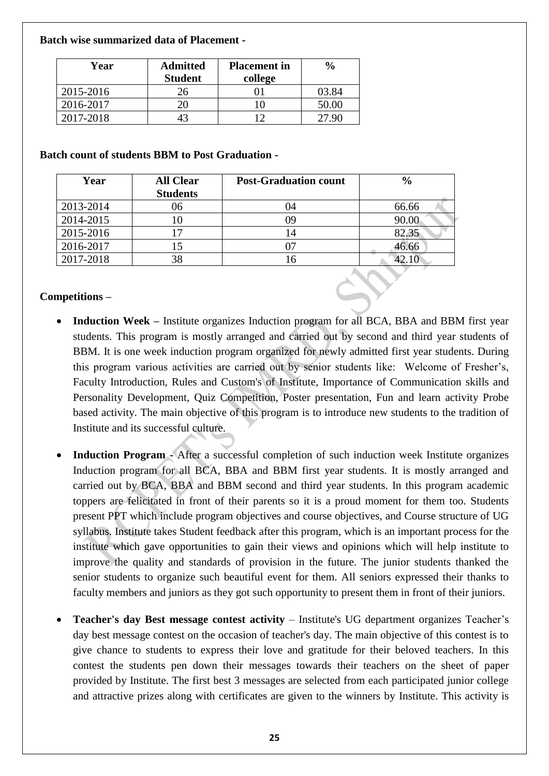### **Batch wise summarized data of Placement -**

| Year      | <b>Admitted</b><br><b>Student</b> | <b>Placement</b> in<br>college | $\frac{0}{0}$ |
|-----------|-----------------------------------|--------------------------------|---------------|
| 2015-2016 | 26                                |                                | 03.84         |
| 2016-2017 |                                   |                                | 50.00         |
| 2017-2018 |                                   | 1 າ                            | 27.QC         |

### **Batch count of students BBM to Post Graduation -**

| Year      | <b>All Clear</b><br><b>Students</b> | <b>Post-Graduation count</b> | $\frac{6}{6}$ |
|-----------|-------------------------------------|------------------------------|---------------|
| 2013-2014 | 06                                  | 04                           | 66.66         |
| 2014-2015 |                                     | 09                           | 90.00         |
| 2015-2016 |                                     | 14                           | 82.35         |
| 2016-2017 |                                     |                              | 46.66         |
| 2017-2018 | 38                                  | ' 6                          |               |

## **Competitions –**

- **Induction Week –** Institute organizes Induction program for all BCA, BBA and BBM first year students. This program is mostly arranged and carried out by second and third year students of BBM. It is one week induction program organized for newly admitted first year students. During this program various activities are carried out by senior students like: Welcome of Fresher's, Faculty Introduction, Rules and Custom's of Institute, Importance of Communication skills and Personality Development, Quiz Competition, Poster presentation, Fun and learn activity Probe based activity. The main objective of this program is to introduce new students to the tradition of Institute and its successful culture.
- **Induction Program -** After a successful completion of such induction week Institute organizes Induction program for all BCA, BBA and BBM first year students. It is mostly arranged and carried out by BCA, BBA and BBM second and third year students. In this program academic toppers are felicitated in front of their parents so it is a proud moment for them too. Students present PPT which include program objectives and course objectives, and Course structure of UG syllabus. Institute takes Student feedback after this program, which is an important process for the institute which gave opportunities to gain their views and opinions which will help institute to improve the quality and standards of provision in the future. The junior students thanked the senior students to organize such beautiful event for them. All seniors expressed their thanks to faculty members and juniors as they got such opportunity to present them in front of their juniors.
- **Teacher's day Best message contest activity** Institute's UG department organizes Teacher's day best message contest on the occasion of teacher's day. The main objective of this contest is to give chance to students to express their love and gratitude for their beloved teachers. In this contest the students pen down their messages towards their teachers on the sheet of paper provided by Institute. The first best 3 messages are selected from each participated junior college and attractive prizes along with certificates are given to the winners by Institute. This activity is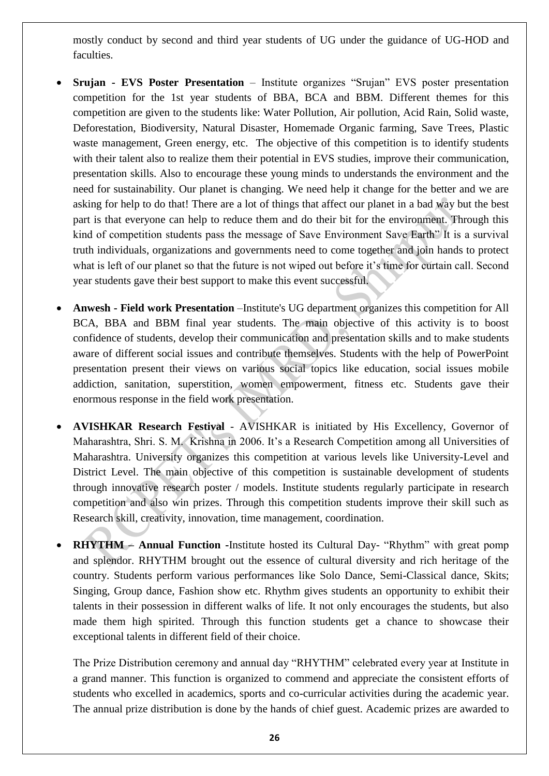mostly conduct by second and third year students of UG under the guidance of UG-HOD and faculties.

- **Srujan - EVS Poster Presentation** Institute organizes "Srujan" EVS poster presentation competition for the 1st year students of BBA, BCA and BBM. Different themes for this competition are given to the students like: Water Pollution, Air pollution, Acid Rain, Solid waste, Deforestation, Biodiversity, Natural Disaster, Homemade Organic farming, Save Trees, Plastic waste management, Green energy, etc. The objective of this competition is to identify students with their talent also to realize them their potential in EVS studies, improve their communication, presentation skills. Also to encourage these young minds to understands the environment and the need for sustainability. Our planet is changing. We need help it change for the better and we are asking for help to do that! There are a lot of things that affect our planet in a bad way but the best part is that everyone can help to reduce them and do their bit for the environment. Through this kind of competition students pass the message of Save Environment Save Earth" It is a survival truth individuals, organizations and governments need to come together and join hands to protect what is left of our planet so that the future is not wiped out before it's time for curtain call. Second year students gave their best support to make this event successful.
- **Anwesh - Field work Presentation** –Institute's UG department organizes this competition for All BCA, BBA and BBM final year students. The main objective of this activity is to boost confidence of students, develop their communication and presentation skills and to make students aware of different social issues and contribute themselves. Students with the help of PowerPoint presentation present their views on various social topics like education, social issues mobile addiction, sanitation, superstition, women empowerment, fitness etc. Students gave their enormous response in the field work presentation.
- **AVISHKAR Research Festival** AVISHKAR is initiated by His Excellency, Governor of Maharashtra, Shri. S. M. Krishna in 2006. It's a Research Competition among all Universities of Maharashtra. University organizes this competition at various levels like University-Level and District Level. The main objective of this competition is sustainable development of students through innovative research poster / models. Institute students regularly participate in research competition and also win prizes. Through this competition students improve their skill such as Research skill, creativity, innovation, time management, coordination.
- **RHYTHM – Annual Function -**Institute hosted its Cultural Day- "Rhythm" with great pomp and splendor. RHYTHM brought out the essence of cultural diversity and rich heritage of the country. Students perform various performances like Solo Dance, Semi-Classical dance, Skits; Singing, Group dance, Fashion show etc. Rhythm gives students an opportunity to exhibit their talents in their possession in different walks of life. It not only encourages the students, but also made them high spirited. Through this function students get a chance to showcase their exceptional talents in different field of their choice.

The Prize Distribution ceremony and annual day "RHYTHM" celebrated every year at Institute in a grand manner. This function is organized to commend and appreciate the consistent efforts of students who excelled in academics, sports and co-curricular activities during the academic year. The annual prize distribution is done by the hands of chief guest. Academic prizes are awarded to